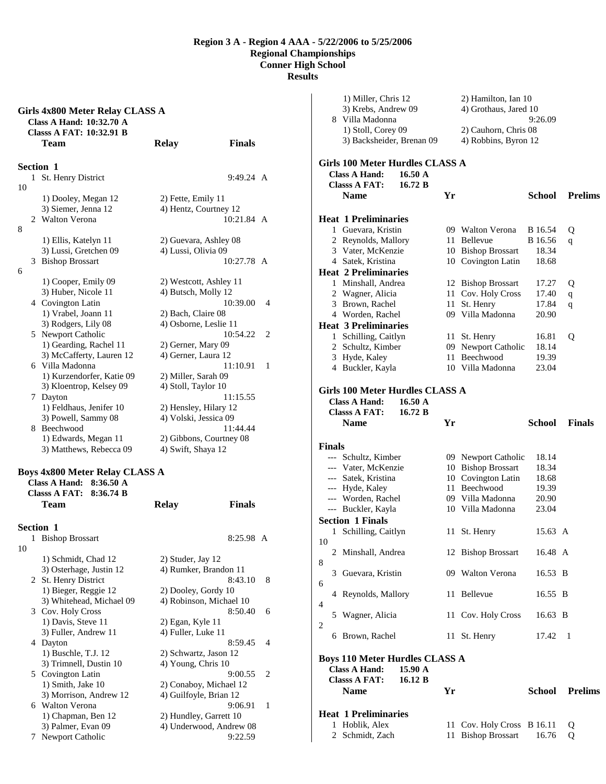|    | Girls 4x800 Meter Relay CLASS A<br>Class A Hand: 10:32.70 A<br><b>Classs A FAT: 10:32.91 B</b> |                        |                         |   |
|----|------------------------------------------------------------------------------------------------|------------------------|-------------------------|---|
|    | Team                                                                                           | <b>Relay</b>           | <b>Finals</b>           |   |
|    | Section 1                                                                                      |                        |                         |   |
| 1  | St. Henry District                                                                             |                        | 9:49.24 A               |   |
| 10 |                                                                                                |                        |                         |   |
|    | 1) Dooley, Megan 12                                                                            | 2) Fette, Emily 11     |                         |   |
|    | 3) Siemer, Jenna 12                                                                            | 4) Hentz, Courtney 12  |                         |   |
|    | 2 Walton Verona                                                                                |                        | $10:21.84 \text{ A}$    |   |
| 8  |                                                                                                |                        |                         |   |
|    | 1) Ellis, Katelyn 11                                                                           | 2) Guevara, Ashley 08  |                         |   |
|    | 3) Lussi, Gretchen 09                                                                          | 4) Lussi, Olivia 09    |                         |   |
|    | 3 Bishop Brossart                                                                              |                        | 10:27.78 A              |   |
| 6  |                                                                                                |                        |                         |   |
|    | 1) Cooper, Emily 09                                                                            |                        | 2) Westcott, Ashley 11  |   |
|    | 3) Huber, Nicole 11                                                                            | 4) Butsch, Molly 12    |                         |   |
|    | 4 Covington Latin                                                                              |                        | 10:39.00                | 4 |
|    | 1) Vrabel, Joann 11                                                                            | 2) Bach, Claire 08     |                         |   |
|    | 3) Rodgers, Lily 08<br>5 Newport Catholic                                                      | 4) Osborne, Leslie 11  | 10:54.22                | 2 |
|    | 1) Gearding, Rachel 11                                                                         | 2) Gerner, Mary 09     |                         |   |
|    | 3) McCafferty, Lauren 12                                                                       | 4) Gerner, Laura 12    |                         |   |
|    | 6 Villa Madonna                                                                                |                        | 11:10.91                | 1 |
|    | 1) Kurzendorfer, Katie 09                                                                      | 2) Miller, Sarah 09    |                         |   |
|    | 3) Kloentrop, Kelsey 09                                                                        | 4) Stoll, Taylor 10    |                         |   |
|    | 7 Dayton                                                                                       |                        | 11:15.55                |   |
|    | 1) Feldhaus, Jenifer 10                                                                        | 2) Hensley, Hilary 12  |                         |   |
|    | 3) Powell, Sammy 08                                                                            | 4) Volski, Jessica 09  |                         |   |
|    | 8 Beechwood                                                                                    |                        | 11:44.44                |   |
|    | 1) Edwards, Megan 11                                                                           |                        | 2) Gibbons, Courtney 08 |   |
|    | 3) Matthews, Rebecca 09                                                                        | 4) Swift, Shaya 12     |                         |   |
|    |                                                                                                |                        |                         |   |
|    | <b>Boys 4x800 Meter Relay CLASS A</b>                                                          |                        |                         |   |
|    | Class A Hand:<br>8:36.50 A<br><b>Classs A FAT:</b><br>8:36.74 B                                |                        |                         |   |
|    | Team                                                                                           | <b>Relay</b>           | <b>Finals</b>           |   |
|    |                                                                                                |                        |                         |   |
|    | <b>Section 1</b>                                                                               |                        |                         |   |
|    | 1 Bishop Brossart                                                                              |                        | 8:25.98 A               |   |
| 10 |                                                                                                |                        |                         |   |
|    | 1) Schmidt, Chad 12                                                                            | 2) Studer, Jay 12      |                         |   |
|    | 3) Osterhage, Justin 12                                                                        |                        | 4) Rumker, Brandon 11   |   |
|    | 2 St. Henry District                                                                           |                        | 8:43.10                 | 8 |
|    | 1) Bieger, Reggie 12                                                                           | 2) Dooley, Gordy 10    |                         |   |
|    | 3) Whitehead, Michael 09                                                                       |                        | 4) Robinson, Michael 10 |   |
|    | 3 Cov. Holy Cross                                                                              |                        | 8:50.40                 | 6 |
|    | 1) Davis, Steve 11                                                                             | 2) Egan, Kyle 11       |                         |   |
|    | 3) Fuller, Andrew 11                                                                           | 4) Fuller, Luke 11     |                         |   |
|    | 4 Dayton                                                                                       |                        | 8:59.45                 | 4 |
|    | 1) Buschle, T.J. 12                                                                            | 2) Schwartz, Jason 12  |                         |   |
|    | 3) Trimnell, Dustin 10                                                                         | 4) Young, Chris 10     |                         |   |
|    | 5 Covington Latin                                                                              |                        | 9:00.55                 | 2 |
|    | 1) Smith, Jake 10<br>3) Morrison, Andrew 12                                                    | 4) Guilfoyle, Brian 12 | 2) Conaboy, Michael 12  |   |
|    | 6 Walton Verona                                                                                |                        | 9:06.91                 | 1 |
|    | 1) Chapman, Ben 12                                                                             |                        | 2) Hundley, Garrett 10  |   |
|    | 3) Palmer, Evan 09                                                                             |                        | 4) Underwood, Andrew 08 |   |
| 7  | Newport Catholic                                                                               |                        | 9:22.59                 |   |

|               |                     | 1) Miller, Chris 12<br>3) Krebs, Andrew 09<br>8 Villa Madonna      |    | 2) Hamilton, Ian 10<br>4) Grothaus, Jared 10 | 9:26.09                 |                |
|---------------|---------------------|--------------------------------------------------------------------|----|----------------------------------------------|-------------------------|----------------|
|               |                     | 1) Stoll, Corey 09<br>3) Backsheider, Brenan 09                    |    | 2) Cauhorn, Chris 08<br>4) Robbins, Byron 12 |                         |                |
|               |                     |                                                                    |    |                                              |                         |                |
|               |                     | Girls 100 Meter Hurdles CLASS A                                    |    |                                              |                         |                |
|               |                     | <b>Class A Hand:</b><br>16.50 A<br><b>Classs A FAT:</b><br>16.72 B |    |                                              |                         |                |
|               |                     | <b>Name</b>                                                        | Yr |                                              | School                  | <b>Prelims</b> |
|               |                     |                                                                    |    |                                              |                         |                |
|               |                     | <b>Heat 1 Preliminaries</b>                                        |    |                                              |                         |                |
|               |                     | 1 Guevara, Kristin                                                 |    | 09 Walton Verona                             | <b>B</b> 16.54          | Q              |
|               |                     | 2 Reynolds, Mallory                                                |    | 11 Bellevue                                  | B 16.56                 | q              |
|               |                     | 3 Vater, McKenzie                                                  |    | 10 Bishop Brossart                           | 18.34                   |                |
|               |                     | 4 Satek, Kristina                                                  |    | 10 Covington Latin                           | 18.68                   |                |
|               |                     | <b>Heat 2 Preliminaries</b>                                        |    |                                              |                         |                |
|               |                     | 1 Minshall, Andrea                                                 |    | 12 Bishop Brossart                           | 17.27                   | Q              |
|               |                     | 2 Wagner, Alicia<br>3 Brown, Rachel                                | 11 | 11 Cov. Holy Cross<br>St. Henry              | 17.40<br>17.84          | q              |
|               |                     | 4 Worden, Rachel                                                   |    | 09 Villa Madonna                             | 20.90                   | q              |
|               |                     | <b>Heat 3 Preliminaries</b>                                        |    |                                              |                         |                |
|               |                     | 1 Schilling, Caitlyn                                               |    | 11 St. Henry                                 | 16.81                   | Q              |
|               |                     | 2 Schultz, Kimber                                                  |    | 09 Newport Catholic                          | 18.14                   |                |
|               |                     | 3 Hyde, Kaley                                                      |    | 11 Beechwood                                 | 19.39                   |                |
|               |                     | 4 Buckler, Kayla                                                   |    | 10 Villa Madonna                             | 23.04                   |                |
|               |                     |                                                                    |    |                                              |                         |                |
|               |                     | Girls 100 Meter Hurdles CLASS A                                    |    |                                              |                         |                |
|               |                     | <b>Class A Hand:</b><br>$16.50 \text{ A}$                          |    |                                              |                         |                |
|               |                     | <b>Classs A FAT:</b><br>16.72 B                                    |    |                                              |                         |                |
|               |                     | <b>Name</b>                                                        | Yr |                                              | <b>School</b>           | <b>Finals</b>  |
|               |                     |                                                                    |    |                                              |                         |                |
|               |                     |                                                                    |    |                                              |                         |                |
| <b>Finals</b> |                     |                                                                    |    |                                              |                         |                |
|               |                     | --- Schultz, Kimber                                                |    | 09 Newport Catholic                          | 18.14                   |                |
|               |                     | --- Vater, McKenzie                                                |    | 10 Bishop Brossart                           | 18.34                   |                |
|               |                     | --- Satek, Kristina                                                |    | 10 Covington Latin                           | 18.68                   |                |
|               |                     | --- Hyde, Kaley                                                    |    | 11 Beechwood                                 | 19.39                   |                |
|               |                     | --- Worden, Rachel                                                 |    | 09 Villa Madonna                             | 20.90                   |                |
|               |                     | --- Buckler, Kayla                                                 |    | 10 Villa Madonna                             | 23.04                   |                |
|               |                     | <b>Section 1 Finals</b>                                            |    |                                              |                         |                |
|               | 1                   | Schilling, Caitlyn                                                 | 11 | St. Henry                                    | 15.63 A                 |                |
| 10            |                     | 2 Minshall, Andrea                                                 |    | 12 Bishop Brossart                           | 16.48 A                 |                |
| 8             |                     | 3 Guevara, Kristin                                                 |    | 09 Walton Verona                             | 16.53 B                 |                |
| 6             |                     | 4 Reynolds, Mallory                                                | 11 | Bellevue                                     | 16.55 B                 |                |
| 4             |                     | 5 Wagner, Alicia                                                   |    | 11 Cov. Holy Cross                           | 16.63 B                 |                |
| 2             |                     | 6 Brown, Rachel                                                    |    | 11 St. Henry                                 | 17.42                   | 1              |
|               |                     |                                                                    |    |                                              |                         |                |
|               |                     | <b>Boys 110 Meter Hurdles CLASS A</b>                              |    |                                              |                         |                |
|               |                     | <b>Class A Hand:</b><br>15.90 A                                    |    |                                              |                         |                |
|               |                     | <b>Classs A FAT:</b><br>16.12 B                                    |    |                                              |                         |                |
|               |                     | <b>Name</b>                                                        | Yr |                                              | School                  | <b>Prelims</b> |
|               |                     |                                                                    |    |                                              |                         |                |
|               |                     | <b>Heat 1 Preliminaries</b>                                        |    |                                              |                         |                |
|               | 1<br>$\mathbf{2}^-$ | Hoblik, Alex<br>Schmidt, Zach                                      | 11 | 11 Cov. Holy Cross<br><b>Bishop Brossart</b> | <b>B</b> 16.11<br>16.76 | Q<br>Q         |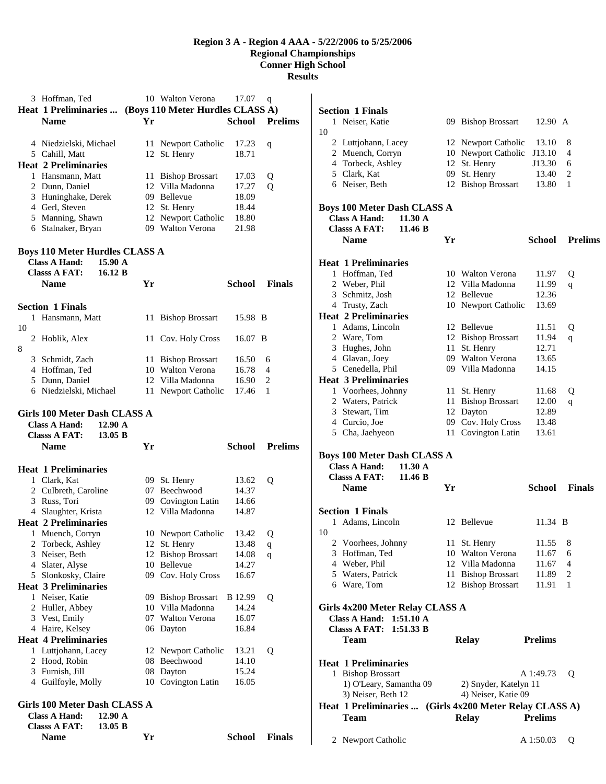| 3 Hoffman, Ted<br>Heat 1 Preliminaries  (Boys 110 Meter Hurdles CLASS A)<br><b>Name</b>                     | Yr | 10 Walton Verona                       | 17.07<br><b>School</b> | q<br><b>Prelims</b> |
|-------------------------------------------------------------------------------------------------------------|----|----------------------------------------|------------------------|---------------------|
|                                                                                                             |    |                                        |                        |                     |
| 4 Niedzielski, Michael                                                                                      |    | 11 Newport Catholic                    | 17.23                  | q                   |
| 5 Cahill, Matt<br><b>Heat 2 Preliminaries</b>                                                               | 12 | St. Henry                              | 18.71                  |                     |
| 1 Hansmann, Matt                                                                                            |    | 11 Bishop Brossart                     | 17.03                  | Q                   |
| 2 Dunn, Daniel                                                                                              |    | 12 Villa Madonna                       | 17.27                  | Q                   |
| 3 Huninghake, Derek                                                                                         |    | 09 Bellevue                            | 18.09                  |                     |
| 4 Gerl, Steven                                                                                              | 12 | St. Henry                              | 18.44                  |                     |
| 5 Manning, Shawn                                                                                            |    | 12 Newport Catholic                    | 18.80                  |                     |
| 6 Stalnaker, Bryan                                                                                          |    | 09 Walton Verona                       | 21.98                  |                     |
| <b>Boys 110 Meter Hurdles CLASS A</b><br><b>Class A Hand:</b><br>15.90 A<br><b>Classs A FAT:</b><br>16.12 B |    |                                        |                        |                     |
| <b>Name</b>                                                                                                 | Yr |                                        | School                 | <b>Finals</b>       |
| <b>Section 1 Finals</b>                                                                                     |    |                                        |                        |                     |
| 1 Hansmann, Matt                                                                                            | 11 | <b>Bishop Brossart</b>                 | 15.98 B                |                     |
| 10                                                                                                          |    |                                        |                        |                     |
| 2 Hoblik, Alex<br>8                                                                                         |    | 11 Cov. Holy Cross                     | 16.07 B                |                     |
| 3 Schmidt, Zach                                                                                             |    | 11 Bishop Brossart                     | 16.50                  | 6                   |
| 4 Hoffman, Ted                                                                                              |    | 10 Walton Verona                       | 16.78                  | 4                   |
| 5 Dunn, Daniel                                                                                              |    | 12 Villa Madonna                       | 16.90                  | 2                   |
| 6 Niedzielski, Michael                                                                                      | 11 | Newport Catholic                       | 17.46                  | 1                   |
| Girls 100 Meter Dash CLASS A                                                                                |    |                                        |                        |                     |
| <b>Class A Hand:</b><br>12.90 A<br><b>Classs A FAT:</b><br>13.05 B<br><b>Name</b>                           | Yr |                                        | <b>School</b>          | <b>Prelims</b>      |
|                                                                                                             |    |                                        |                        |                     |
| <b>Heat 1 Preliminaries</b><br>1 Clark, Kat                                                                 |    | 09 St. Henry                           | 13.62                  | Q                   |
| 2 Culbreth, Caroline                                                                                        |    | 07 Beechwood                           | 14.37                  |                     |
| 3 Russ, Tori                                                                                                | 09 | Covington Latin                        | 14.66                  |                     |
| 4 Slaughter, Krista                                                                                         |    | 12 Villa Madonna                       | 14.87                  |                     |
| <b>Heat 2 Preliminaries</b>                                                                                 |    |                                        |                        |                     |
| 1 Muench, Corryn                                                                                            | 12 | 10 Newport Catholic                    | 13.42<br>13.48         | Q                   |
| 2 Torbeck, Ashley<br>3 Neiser, Beth                                                                         | 12 | St. Henry<br><b>Bishop Brossart</b>    | 14.08                  | q<br>q              |
| 4 Slater, Alyse                                                                                             |    | 10 Bellevue                            | 14.27                  |                     |
| 5 Slonkosky, Claire                                                                                         |    | 09 Cov. Holy Cross                     | 16.67                  |                     |
| <b>Heat 3 Preliminaries</b>                                                                                 |    |                                        |                        |                     |
| 1 Neiser, Katie                                                                                             |    | 09 Bishop Brossart<br>10 Villa Madonna | B 12.99                | Q                   |
| 2 Huller, Abbey<br>3 Vest, Emily                                                                            |    | 07 Walton Verona                       | 14.24<br>16.07         |                     |
| 4 Haire, Kelsey                                                                                             |    | 06 Dayton                              | 16.84                  |                     |
| <b>Heat 4 Preliminaries</b>                                                                                 |    |                                        |                        |                     |
| 1 Luttjohann, Lacey                                                                                         |    | 12 Newport Catholic                    | 13.21                  | Q                   |
| 2 Hood, Robin                                                                                               | 08 | Beechwood                              | 14.10                  |                     |
| 3 Furnish, Jill                                                                                             |    | 08 Dayton                              | 15.24                  |                     |
| 4 Guilfoyle, Molly<br>Girls 100 Meter Dash CLASS A                                                          |    | 10 Covington Latin                     | 16.05                  |                     |
| <b>Class A Hand:</b><br>12.90 A<br><b>Classs A FAT:</b><br>13.05 B                                          |    |                                        |                        |                     |

|    | <b>Section 1 Finals</b>                                                                           |                        |      |                                              |                |                |
|----|---------------------------------------------------------------------------------------------------|------------------------|------|----------------------------------------------|----------------|----------------|
| 10 | 1 Neiser, Katie                                                                                   |                        |      | 09 Bishop Brossart                           | 12.90 A        |                |
|    | 2 Luttjohann, Lacey                                                                               |                        |      | 12 Newport Catholic                          | 13.10          | 8              |
|    | 2 Muench, Corryn                                                                                  |                        |      | 10 Newport Catholic                          | J13.10         | 4              |
|    | 4 Torbeck, Ashley                                                                                 |                        | 12   | St. Henry                                    | J13.30         | 6              |
|    | 5 Clark, Kat                                                                                      |                        |      | 09 St. Henry                                 | 13.40          | 2              |
|    | 6 Neiser, Beth                                                                                    |                        |      | 12 Bishop Brossart                           | 13.80          | 1              |
|    | <b>Boys 100 Meter Dash CLASS A</b><br><b>Class A Hand:</b><br><b>Classs A FAT:</b><br><b>Name</b> | 11.30 A<br>11.46 B     | Yr   |                                              | School         | <b>Prelims</b> |
|    | <b>Heat 1 Preliminaries</b>                                                                       |                        |      |                                              |                |                |
|    | 1 Hoffman, Ted                                                                                    |                        |      | 10 Walton Verona                             | 11.97          | Q              |
|    | 2 Weber, Phil                                                                                     |                        |      | 12 Villa Madonna                             | 11.99          | q              |
|    | 3 Schmitz, Josh                                                                                   |                        |      | 12 Bellevue                                  | 12.36          |                |
|    | 4 Trusty, Zach<br><b>Heat 2 Preliminaries</b>                                                     |                        |      | 10 Newport Catholic                          | 13.69          |                |
|    | 1 Adams, Lincoln                                                                                  |                        |      | 12 Bellevue                                  | 11.51          | Q              |
|    | 2 Ware, Tom                                                                                       |                        | 12   | <b>Bishop Brossart</b>                       | 11.94          | q              |
|    | 3 Hughes, John                                                                                    |                        | 11   | St. Henry                                    | 12.71          |                |
|    | 4 Glavan, Joey                                                                                    |                        |      | 09 Walton Verona                             | 13.65          |                |
|    | 5 Cenedella, Phil                                                                                 |                        |      | 09 Villa Madonna                             | 14.15          |                |
|    | <b>Heat 3 Preliminaries</b>                                                                       |                        |      |                                              |                |                |
|    | 1 Voorhees, Johnny                                                                                |                        | 11.  | St. Henry                                    | 11.68          | Q              |
|    | 2 Waters, Patrick                                                                                 |                        | 11   | <b>Bishop Brossart</b>                       | 12.00          | $\mathbf q$    |
|    | 3 Stewart, Tim                                                                                    |                        |      | 12 Dayton                                    | 12.89          |                |
|    | 4 Curcio, Joe                                                                                     |                        |      | 09 Cov. Holy Cross                           | 13.48          |                |
|    | 5 Cha, Jaehyeon                                                                                   |                        | 11   | Covington Latin                              | 13.61          |                |
|    | <b>Boys 100 Meter Dash CLASS A</b><br><b>Class A Hand:</b><br><b>Classs A FAT:</b><br><b>Name</b> | 11.30 A<br>11.46 B     | Yr   |                                              | School         | <b>Finals</b>  |
|    |                                                                                                   |                        |      |                                              |                |                |
|    | <b>Section 1 Finals</b><br>1 Adams, Lincoln                                                       |                        |      | 12 Bellevue                                  | 11.34 B        |                |
| 10 |                                                                                                   |                        |      |                                              |                |                |
|    | 2 Voorhees, Johnny                                                                                |                        | 11   | St. Henry                                    | 11.55          | 8              |
|    | 3 Hoffman, Ted                                                                                    |                        |      | 10 Walton Verona                             | 11.67          | 6              |
|    | 4 Weber, Phil                                                                                     |                        |      | 12 Villa Madonna                             | 11.67          | 4              |
|    | 5 Waters, Patrick<br>6 Ware, Tom                                                                  |                        | 11 - | <b>Bishop Brossart</b><br>12 Bishop Brossart | 11.89<br>11.91 | 2<br>1         |
|    |                                                                                                   |                        |      |                                              |                |                |
|    | Girls 4x200 Meter Relay CLASS A<br><b>Class A Hand:</b><br><b>Classs A FAT:</b>                   | 1:51.10 A<br>1:51.33 B |      |                                              |                |                |
|    | <b>Team</b>                                                                                       |                        |      | <b>Relay</b>                                 | <b>Prelims</b> |                |
|    | <b>Heat 1 Preliminaries</b>                                                                       |                        |      |                                              |                |                |
|    | 1 Bishop Brossart                                                                                 |                        |      |                                              | A 1:49.73      | Q              |
|    | 1) O'Leary, Samantha 09                                                                           |                        |      | 2) Snyder, Katelyn 11                        |                |                |
|    | 3) Neiser, Beth 12                                                                                |                        |      | 4) Neiser, Katie 09                          |                |                |
|    | <b>Heat 1 Preliminaries </b>                                                                      |                        |      | (Girls 4x200 Meter Relay CLASS A)            |                |                |
|    | <b>Team</b>                                                                                       |                        |      | <b>Relay</b>                                 | <b>Prelims</b> |                |
| 2  | Newport Catholic                                                                                  |                        |      |                                              | A 1:50.03      | Q              |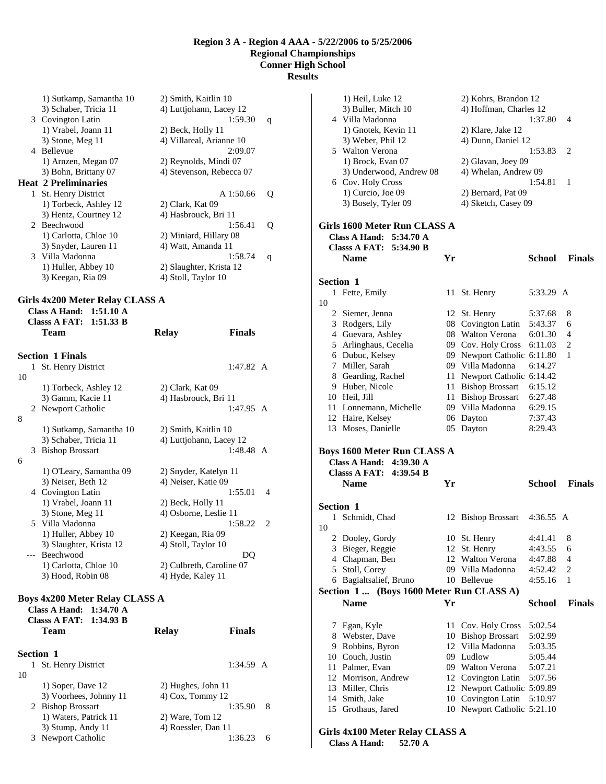|              | 1) Sutkamp, Samantha 10                                                                                         | 2) Smith, Kaitlin 10     |                     |   |
|--------------|-----------------------------------------------------------------------------------------------------------------|--------------------------|---------------------|---|
|              | 3) Schaber, Tricia 11                                                                                           | 4) Luttjohann, Lacey 12  |                     |   |
|              | 3 Covington Latin                                                                                               |                          | 1:59.30             | q |
|              | 1) Vrabel, Joann 11                                                                                             | 2) Beck, Holly 11        |                     |   |
|              | 3) Stone, Meg 11                                                                                                | 4) Villareal, Arianne 10 |                     |   |
|              | 4 Bellevue                                                                                                      |                          | 2:09.07             |   |
|              | 1) Arnzen, Megan 07                                                                                             | 2) Reynolds, Mindi 07    |                     |   |
|              | 3) Bohn, Brittany 07                                                                                            | 4) Stevenson, Rebecca 07 |                     |   |
|              | <b>Heat 2 Preliminaries</b>                                                                                     |                          |                     |   |
| $\mathbf{1}$ | St. Henry District                                                                                              |                          | A1:50.66            | Q |
|              | 1) Torbeck, Ashley 12                                                                                           | 2) Clark, Kat 09         |                     |   |
|              | 3) Hentz, Courtney 12                                                                                           | 4) Hasbrouck, Bri 11     |                     |   |
|              | 2 Beechwood                                                                                                     |                          | 1:56.41             | Q |
|              | 1) Carlotta, Chloe 10                                                                                           | 2) Miniard, Hillary 08   |                     |   |
|              | 3) Snyder, Lauren 11                                                                                            | 4) Watt, Amanda 11       |                     |   |
|              | 3 Villa Madonna                                                                                                 |                          | 1:58.74             | q |
|              | 1) Huller, Abbey 10                                                                                             | 2) Slaughter, Krista 12  |                     |   |
|              | 3) Keegan, Ria 09                                                                                               | 4) Stoll, Taylor 10      |                     |   |
|              | Girls 4x200 Meter Relay CLASS A<br>Class A Hand: $1:51.10 \text{ A}$<br>Class A FAT: $1:51.33$ B<br><b>Team</b> | <b>Relay</b>             | <b>Finals</b>       |   |
| $\mathbf{1}$ | <b>Section 1 Finals</b><br>St. Henry District                                                                   |                          | $1:47.82 \text{ A}$ |   |

| 10 |   |                                       |                          |   |  |
|----|---|---------------------------------------|--------------------------|---|--|
|    |   | 1) Torbeck, Ashley 12                 | 2) Clark, Kat 09         |   |  |
|    |   | 3) Gamm, Kacie 11                     | 4) Hasbrouck, Bri 11     |   |  |
|    | 2 | Newport Catholic                      | $1:47.95 \text{ A}$      |   |  |
| 8  |   |                                       |                          |   |  |
|    |   | 1) Sutkamp, Samantha 10               | 2) Smith, Kaitlin 10     |   |  |
|    |   | 3) Schaber, Tricia 11                 | 4) Luttjohann, Lacey 12  |   |  |
|    | 3 | <b>Bishop Brossart</b>                | $1:48.48$ A              |   |  |
| 6  |   |                                       |                          |   |  |
|    |   | 1) O'Leary, Samantha 09               | 2) Snyder, Katelyn 11    |   |  |
|    |   | 3) Neiser, Beth 12                    | 4) Neiser, Katie 09      |   |  |
|    |   | 4 Covington Latin                     | 1:55.01                  | 4 |  |
|    |   | 1) Vrabel, Joann 11                   | 2) Beck, Holly 11        |   |  |
|    |   | 3) Stone, Meg 11                      | 4) Osborne, Leslie 11    |   |  |
|    |   | 5 Villa Madonna                       | 1:58.22                  | 2 |  |
|    |   | 1) Huller, Abbey 10                   | 2) Keegan, Ria 09        |   |  |
|    |   | 3) Slaughter, Krista 12               | 4) Stoll, Taylor 10      |   |  |
|    |   | --- Beechwood                         | DQ                       |   |  |
|    |   | 1) Carlotta, Chloe 10                 | 2) Culbreth, Caroline 07 |   |  |
|    |   | 3) Hood, Robin 08                     | 4) Hyde, Kaley 11        |   |  |
|    |   |                                       |                          |   |  |
|    |   | <b>Boys 4x200 Meter Relay CLASS A</b> |                          |   |  |
|    |   | Class A Hand: $1:34.70 \text{ A}$     |                          |   |  |
|    |   | Classs A FAT: 1:34.93 B               |                          |   |  |

|    | 1.VT.JV 11<br>Team     | <b>Relay</b>        | <b>Finals</b> |   |
|----|------------------------|---------------------|---------------|---|
|    | <b>Section 1</b>       |                     |               |   |
|    | 1 St. Henry District   |                     | $1:34.59$ A   |   |
| 10 |                        |                     |               |   |
|    | 1) Soper, Dave 12      | 2) Hughes, John 11  |               |   |
|    | 3) Voorhees, Johnny 11 | $(4)$ Cox, Tommy 12 |               |   |
|    | 2 Bishop Brossart      |                     | 1:35.90       | 8 |
|    | 1) Waters, Patrick 11  | $2)$ Ware, Tom 12   |               |   |
|    | 3) Stump, Andy 11      | 4) Roessler, Dan 11 |               |   |
|    | 3 Newport Catholic     |                     | 1:36.23       | 6 |

|                  | 1) Heil, Luke 12<br>3) Buller, Mitch 10                                                                |    | 2) Kohrs, Brandon 12<br>4) Hoffman, Charles 12 |                    |               |
|------------------|--------------------------------------------------------------------------------------------------------|----|------------------------------------------------|--------------------|---------------|
|                  | 4 Villa Madonna<br>1) Gnotek, Kevin 11<br>3) Weber, Phil 12                                            |    | 2) Klare, Jake 12<br>4) Dunn, Daniel 12        | 1:37.80            | 4             |
|                  | 5 Walton Verona<br>1) Brock, Evan 07<br>3) Underwood, Andrew 08                                        |    | 2) Glavan, Joey 09<br>4) Whelan, Andrew 09     | 1:53.83            | 2             |
|                  | 6 Cov. Holy Cross<br>1) Curcio, Joe 09                                                                 |    | 2) Bernard, Pat 09                             | 1:54.81            | 1             |
|                  | 3) Bosely, Tyler 09                                                                                    |    | 4) Sketch, Casey 09                            |                    |               |
|                  | Girls 1600 Meter Run CLASS A<br>Class A Hand: $5:34.70 \text{ A}$<br><b>Classs A FAT:</b><br>5:34.90 B |    |                                                |                    |               |
|                  | <b>Name</b>                                                                                            | Yr |                                                | <b>School</b>      | <b>Finals</b> |
| <b>Section 1</b> |                                                                                                        |    |                                                |                    |               |
| 1<br>10          | Fette, Emily                                                                                           | 11 | St. Henry                                      | 5:33.29 A          |               |
|                  | 2 Siemer, Jenna<br>3 Rodgers, Lily                                                                     |    | 12 St. Henry<br>08 Covington Latin             | 5:37.68<br>5:43.37 | 8<br>6        |
|                  | 4 Guevara, Ashley                                                                                      |    | 08 Walton Verona                               | 6:01.30            | 4             |
|                  | 5 Arlinghaus, Cecelia                                                                                  |    | 09 Cov. Holy Cross                             | 6:11.03            | 2             |
|                  | 6 Dubuc, Kelsey                                                                                        |    | 09 Newport Catholic 6:11.80                    |                    | 1             |
|                  | 7 Miller, Sarah                                                                                        |    | 09 Villa Madonna                               | 6:14.27            |               |
|                  | 8 Gearding, Rachel                                                                                     |    | 11 Newport Catholic 6:14.42                    |                    |               |
|                  | 9 Huber, Nicole                                                                                        |    | 11 Bishop Brossart                             | 6:15.12            |               |
|                  | 10 Heil, Jill                                                                                          |    | 11 Bishop Brossart                             | 6:27.48            |               |
|                  | 11 Lonnemann, Michelle                                                                                 |    | 09 Villa Madonna                               | 6:29.15            |               |
|                  | 12 Haire, Kelsey                                                                                       |    | 06 Dayton                                      | 7:37.43            |               |
|                  | 13 Moses, Danielle                                                                                     | 05 | Dayton                                         | 8:29.43            |               |
|                  | <b>Boys 1600 Meter Run CLASS A</b><br>Class A Hand: 4:39.30 A                                          |    |                                                |                    |               |
|                  | <b>Classs A FAT:</b><br>4:39.54 B                                                                      |    |                                                |                    |               |
|                  | <b>Name</b>                                                                                            | Yr |                                                | School             | <b>Finals</b> |
| <b>Section 1</b> |                                                                                                        |    |                                                |                    |               |
| 1<br>10          | Schmidt, Chad                                                                                          |    | 12 Bishop Brossart                             | 4:36.55 A          |               |
| 2                | Dooley, Gordy                                                                                          |    | 10 St. Henry                                   | 4:41.41            | 8             |
| 3                | Bieger, Reggie                                                                                         | 12 | St. Henry                                      | 4:43.55            | 6             |
|                  | 4 Chapman, Ben                                                                                         | 12 | Walton Verona                                  | 4:47.88            | 4             |
|                  | 5 Stoll, Corey                                                                                         |    | 09 Villa Madonna                               | 4:52.42            | 2             |
|                  | 6 Bagialtsalief, Bruno                                                                                 |    | 10 Bellevue                                    | 4:55.16            | 1             |
|                  | Section 1  (Boys 1600 Meter Run CLASS A)                                                               |    |                                                |                    |               |
|                  | <b>Name</b>                                                                                            | Yr |                                                | School             | <b>Finals</b> |
| 7                | Egan, Kyle                                                                                             | 11 | Cov. Holy Cross                                | 5:02.54            |               |
|                  | 8 Webster, Dave                                                                                        | 10 | <b>Bishop Brossart</b>                         | 5:02.99            |               |
|                  | 9 Robbins, Byron                                                                                       |    | 12 Villa Madonna                               | 5:03.35            |               |
|                  | 10 Couch, Justin<br>11 Palmer, Evan                                                                    |    | 09 Ludlow<br>09 Walton Verona                  | 5:05.44<br>5:07.21 |               |
|                  | 12 Morrison, Andrew                                                                                    |    | 12 Covington Latin                             | 5:07.56            |               |
|                  | 13 Miller, Chris                                                                                       |    | 12 Newport Catholic 5:09.89                    |                    |               |
|                  | 14 Smith, Jake                                                                                         |    | 10 Covington Latin                             | 5:10.97            |               |
| 15               | Grothaus, Jared                                                                                        | 10 | Newport Catholic 5:21.10                       |                    |               |
|                  |                                                                                                        |    |                                                |                    |               |

# **Girls 4x100 Meter Relay CLASS A**

**Class A Hand: 52.70 A**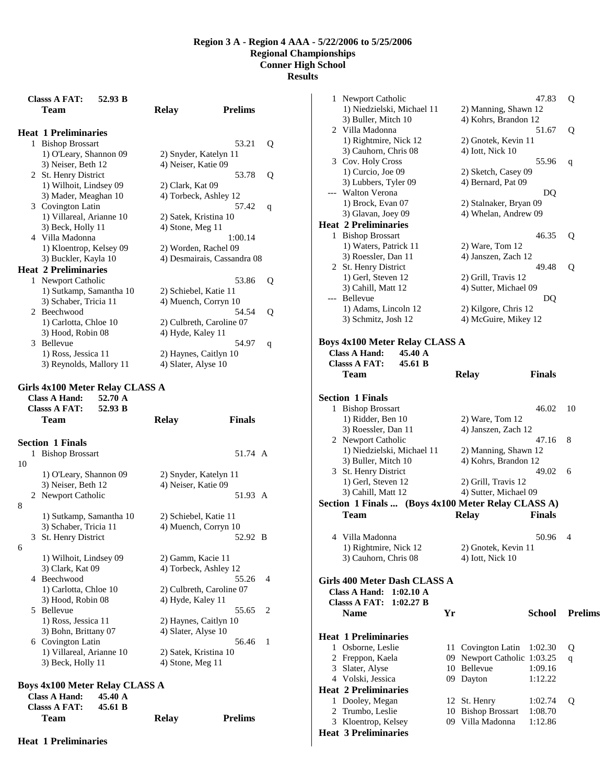**Results** 

|    | <b>Classs A FAT:</b><br>52.93 B<br>Team | <b>Prelims</b><br><b>Relay</b> |
|----|-----------------------------------------|--------------------------------|
|    | <b>Heat 1 Preliminaries</b>             |                                |
|    | 1 Bishop Brossart                       | 53.21<br>Q                     |
|    | 1) O'Leary, Shannon 09                  | 2) Snyder, Katelyn 11          |
|    | 3) Neiser, Beth 12                      | 4) Neiser, Katie 09            |
|    | 2 St. Henry District                    | 53.78<br>Q                     |
|    | 1) Wilhoit, Lindsey 09                  | 2) Clark, Kat 09               |
|    | 3) Mader, Meaghan 10                    | 4) Torbeck, Ashley 12          |
|    | 3 Covington Latin                       | 57.42<br>q                     |
|    | 1) Villareal, Arianne 10                | 2) Satek, Kristina 10          |
|    | 3) Beck, Holly 11                       | 4) Stone, Meg 11               |
|    | 4 Villa Madonna                         | 1:00.14                        |
|    | 1) Kloentrop, Kelsey 09                 | 2) Worden, Rachel 09           |
|    | 3) Buckler, Kayla 10                    | 4) Desmairais, Cassandra 08    |
|    | <b>Heat 2 Preliminaries</b>             |                                |
|    | 1 Newport Catholic                      | 53.86<br>Q                     |
|    | 1) Sutkamp, Samantha 10                 | 2) Schiebel, Katie 11          |
|    | 3) Schaber, Tricia 11                   | 4) Muench, Corryn 10           |
|    | 2 Beechwood                             | 54.54<br>Q                     |
|    | 1) Carlotta, Chloe 10                   | 2) Culbreth, Caroline 07       |
|    | 3) Hood, Robin 08                       | 4) Hyde, Kaley 11              |
|    | 3 Bellevue                              | 54.97<br>q                     |
|    | 1) Ross, Jessica 11                     | 2) Haynes, Caitlyn 10          |
|    | 3) Reynolds, Mallory 11                 | 4) Slater, Alyse 10            |
|    | <b>Classs A FAT:</b><br>52.93 B<br>Team | <b>Finals</b><br><b>Relay</b>  |
|    | <b>Section 1 Finals</b>                 |                                |
| 1  | <b>Bishop Brossart</b>                  | 51.74 A                        |
| 10 |                                         |                                |
|    | 1) O'Leary, Shannon 09                  | 2) Snyder, Katelyn 11          |
|    | 3) Neiser, Beth 12                      | 4) Neiser, Katie 09            |
|    | 2 Newport Catholic                      | 51.93 A                        |
| 8  |                                         |                                |
|    | 1) Sutkamp, Samantha 10                 | 2) Schiebel, Katie 11          |
|    | 3) Schaber, Tricia 11                   | 4) Muench, Corryn 10           |
| 3  | St. Henry District                      | 52.92 B                        |
| 6  |                                         |                                |
|    | 1) Wilhoit, Lindsey 09                  | 2) Gamm, Kacie 11              |
|    | 3) Clark, Kat 09                        | 4) Torbeck, Ashley 12          |
|    | 4 Beechwood                             | 55.26<br>4                     |
|    | 1) Carlotta, Chloe 10                   | 2) Culbreth, Caroline 07       |
|    | 3) Hood, Robin 08                       | 4) Hyde, Kaley 11              |
|    | 5 Bellevue                              | 55.65<br>2                     |
|    | 1) Ross, Jessica 11                     | 2) Haynes, Caitlyn 10          |
|    | 3) Bohn, Brittany 07                    | 4) Slater, Alyse 10            |
|    | 6 Covington Latin                       | 56.46<br>1                     |
|    | 1) Villareal, Arianne 10                | 2) Satek, Kristina 10          |
|    | 3) Beck, Holly 11                       | 4) Stone, Meg 11               |
|    |                                         |                                |
|    | Boys 4x100 Meter Relay CLASS A          |                                |

| Boys 4x100 Meter Relay CLASS A  |       |                |  |
|---------------------------------|-------|----------------|--|
| Class A Hand: $45.40 \text{ A}$ |       |                |  |
| Class A FAT: $45.61 B$          |       |                |  |
| <b>Team</b>                     | Relay | <b>Prelims</b> |  |

**Heat 1 Preliminaries** 

| 1 Newport Catholic                                 |     |                                         | 47.83         | Q              |
|----------------------------------------------------|-----|-----------------------------------------|---------------|----------------|
| 1) Niedzielski, Michael 11                         |     | 2) Manning, Shawn 12                    |               |                |
| 3) Buller, Mitch 10                                |     | 4) Kohrs, Brandon 12                    |               |                |
| 2 Villa Madonna                                    |     |                                         | 51.67         | Q              |
| 1) Rightmire, Nick 12                              |     | 2) Gnotek, Kevin 11                     |               |                |
| 3) Cauhorn, Chris 08                               |     | 4) Iott, Nick 10                        |               |                |
| 3 Cov. Holy Cross                                  |     |                                         | 55.96         | q              |
| 1) Curcio, Joe 09                                  |     | 2) Sketch, Casey 09                     |               |                |
| 3) Lubbers, Tyler 09                               |     | 4) Bernard, Pat 09                      |               |                |
| --- Walton Verona                                  |     |                                         | DQ            |                |
| 1) Brock, Evan 07                                  |     | 2) Stalnaker, Bryan 09                  |               |                |
| 3) Glavan, Joey 09                                 |     | 4) Whelan, Andrew 09                    |               |                |
| <b>Heat 2 Preliminaries</b>                        |     |                                         |               |                |
|                                                    |     |                                         |               |                |
| 1 Bishop Brossart                                  |     |                                         | 46.35         | Q              |
| 1) Waters, Patrick 11                              |     | $2)$ Ware, Tom 12                       |               |                |
| 3) Roessler, Dan 11                                |     | 4) Janszen, Zach 12                     |               |                |
| 2 St. Henry District                               |     |                                         | 49.48         | Q              |
| 1) Gerl, Steven 12                                 |     | 2) Grill, Travis 12                     |               |                |
| 3) Cahill, Matt 12                                 |     | 4) Sutter, Michael 09                   |               |                |
| --- Bellevue                                       |     |                                         | DQ            |                |
| 1) Adams, Lincoln 12                               |     | 2) Kilgore, Chris 12                    |               |                |
| 3) Schmitz, Josh 12                                |     | 4) McGuire, Mikey 12                    |               |                |
|                                                    |     |                                         |               |                |
| <b>Boys 4x100 Meter Relay CLASS A</b>              |     |                                         |               |                |
| 45.40 A<br>Class A Hand:                           |     |                                         |               |                |
| <b>Classs A FAT:</b><br>45.61 B                    |     |                                         |               |                |
| Team                                               |     | <b>Relay</b>                            | <b>Finals</b> |                |
|                                                    |     |                                         |               |                |
| <b>Section 1 Finals</b>                            |     |                                         |               |                |
| 1 Bishop Brossart                                  |     |                                         | 46.02         | 10             |
| 1) Ridder, Ben 10                                  |     | $2)$ Ware, Tom 12                       |               |                |
| 3) Roessler, Dan 11                                |     | 4) Janszen, Zach 12                     |               |                |
| 2 Newport Catholic                                 |     |                                         | 47.16         | 8              |
| 1) Niedzielski, Michael 11                         |     | 2) Manning, Shawn 12                    |               |                |
| 3) Buller, Mitch 10                                |     | 4) Kohrs, Brandon 12                    |               |                |
| 3 St. Henry District                               |     |                                         | 49.02         | 6              |
| 1) Gerl, Steven 12                                 |     | 2) Grill, Travis 12                     |               |                |
|                                                    |     |                                         |               |                |
| 3) Cahill, Matt 12                                 |     | 4) Sutter, Michael 09                   |               |                |
| Section 1 Finals  (Boys 4x100 Meter Relay CLASS A) |     |                                         |               |                |
| <b>Team</b>                                        |     | <b>Relay</b>                            | <b>Finals</b> |                |
|                                                    |     |                                         |               |                |
| 4 Villa Madonna                                    |     |                                         | 50.96 4       |                |
| 1) Rightmire, Nick 12                              |     | 2) Gnotek, Kevin 11                     |               |                |
| 3) Cauhorn, Chris 08                               |     | 4) Iott, Nick 10                        |               |                |
|                                                    |     |                                         |               |                |
| Girls 400 Meter Dash CLASS A                       |     |                                         |               |                |
| <b>Class A Hand:</b><br>1:02.10 A                  |     |                                         |               |                |
| 1:02.27 B<br><b>Classs A FAT:</b>                  |     |                                         |               |                |
| <b>Name</b>                                        | Yr  |                                         | School        | <b>Prelims</b> |
|                                                    |     |                                         |               |                |
|                                                    |     |                                         |               |                |
| <b>Heat 1 Preliminaries</b>                        |     |                                         |               |                |
| 1 Osborne, Leslie                                  | 11- | Covington Latin                         | 1:02.30       | Q              |
| 2 Freppon, Kaela                                   | 09  | Newport Catholic 1:03.25<br>10 Bellevue |               | q              |
| 3 Slater, Alyse                                    | 09  |                                         | 1:09.16       |                |
| 4 Volski, Jessica                                  |     | Dayton                                  | 1:12.22       |                |
| <b>Heat 2 Preliminaries</b>                        |     |                                         |               |                |
| 1 Dooley, Megan                                    | 12  | St. Henry                               | 1:02.74       | Q              |
| 2 Trumbo, Leslie                                   | 10  | <b>Bishop Brossart</b>                  | 1:08.70       |                |
| 3 Kloentrop, Kelsey<br><b>Heat 3 Preliminaries</b> |     | 09 Villa Madonna                        | 1:12.86       |                |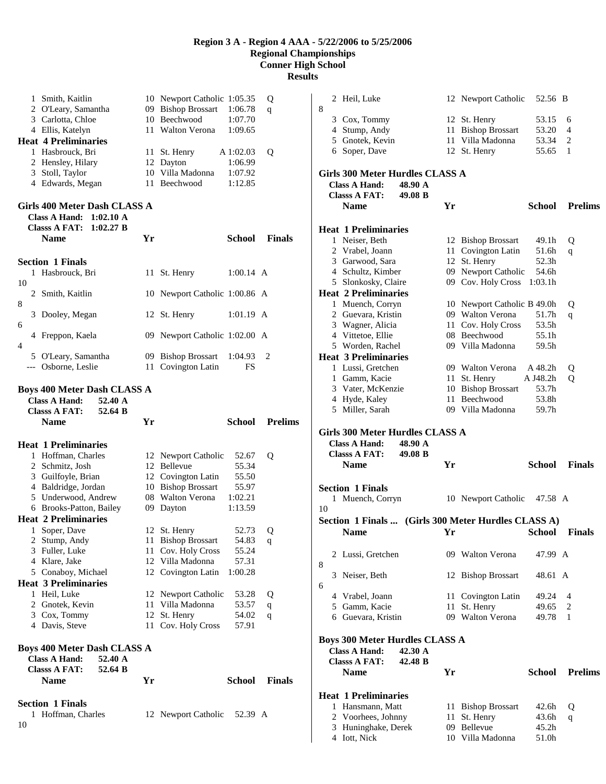**Results** 

|    | 1            | Smith, Kaitlin                                                    |      | 10 Newport Catholic 1:05.35        |                    | Q              |
|----|--------------|-------------------------------------------------------------------|------|------------------------------------|--------------------|----------------|
|    |              | 2 O'Leary, Samantha                                               |      | 09 Bishop Brossart                 | 1:06.78            | q              |
|    |              | 3 Carlotta, Chloe                                                 |      | 10 Beechwood                       | 1:07.70            |                |
|    |              | 4 Ellis, Katelyn                                                  |      | 11 Walton Verona                   | 1:09.65            |                |
|    |              | <b>Heat 4 Preliminaries</b>                                       |      |                                    |                    |                |
|    |              | 1 Hasbrouck, Bri                                                  | 11 - | St. Henry                          | A 1:02.03          | Q              |
|    |              | 2 Hensley, Hilary<br>3 Stoll, Taylor                              |      | 12 Dayton<br>10 Villa Madonna      | 1:06.99<br>1:07.92 |                |
|    |              | 4 Edwards, Megan                                                  |      | 11 Beechwood                       | 1:12.85            |                |
|    |              |                                                                   |      |                                    |                    |                |
|    |              | Girls 400 Meter Dash CLASS A<br>Class A Hand: $1:02.10 \text{ A}$ |      |                                    |                    |                |
|    |              | <b>Classs A FAT:</b><br>1:02.27 B                                 |      |                                    |                    |                |
|    |              | <b>Name</b>                                                       | Yr   |                                    | School             | <b>Finals</b>  |
|    |              |                                                                   |      |                                    |                    |                |
|    |              | <b>Section 1 Finals</b>                                           |      |                                    |                    |                |
|    | 1            | Hasbrouck, Bri                                                    | 11 - | St. Henry                          | $1:00.14$ A        |                |
| 10 |              |                                                                   |      |                                    |                    |                |
|    |              | 2 Smith, Kaitlin                                                  |      | 10 Newport Catholic 1:00.86 A      |                    |                |
| 8  |              |                                                                   |      |                                    |                    |                |
| 6  |              | 3 Dooley, Megan                                                   |      | 12 St. Henry                       | $1:01.19$ A        |                |
|    |              | 4 Freppon, Kaela                                                  |      | 09 Newport Catholic 1:02.00 A      |                    |                |
| 4  |              |                                                                   |      |                                    |                    |                |
|    |              | 5 O'Leary, Samantha                                               |      | 09 Bishop Brossart                 | 1:04.93            | 2              |
|    |              | --- Osborne, Leslie                                               | 11   | Covington Latin                    | FS                 |                |
|    |              |                                                                   |      |                                    |                    |                |
|    |              | <b>Boys 400 Meter Dash CLASS A</b>                                |      |                                    |                    |                |
|    |              | <b>Class A Hand:</b><br>52.40 A                                   |      |                                    |                    |                |
|    |              |                                                                   |      |                                    |                    |                |
|    |              | <b>Classs A FAT:</b><br>52.64 B                                   |      |                                    |                    |                |
|    |              | <b>Name</b>                                                       | Yr   |                                    | School             | <b>Prelims</b> |
|    |              |                                                                   |      |                                    |                    |                |
|    |              | <b>Heat 1 Preliminaries</b><br>1 Hoffman, Charles                 |      |                                    | 52.67              |                |
|    |              | 2 Schmitz, Josh                                                   |      | 12 Newport Catholic<br>12 Bellevue | 55.34              | Q              |
|    |              | 3 Guilfoyle, Brian                                                |      | 12 Covington Latin                 | 55.50              |                |
|    |              | 4 Baldridge, Jordan                                               |      | 10 Bishop Brossart                 | 55.97              |                |
|    |              | 5 Underwood, Andrew                                               |      | 08 Walton Verona                   | 1:02.21            |                |
|    |              | 6 Brooks-Patton, Bailey                                           |      | 09 Dayton                          | 1:13.59            |                |
|    |              | <b>Heat 2 Preliminaries</b>                                       |      |                                    |                    |                |
|    | $\mathbf{1}$ | Soper, Dave                                                       |      | 12 St. Henry                       | 52.73              | Q              |
|    |              | 2 Stump, Andy                                                     |      | 11 Bishop Brossart                 | 54.83              | q              |
|    |              | 3 Fuller, Luke                                                    | 11   | Cov. Holy Cross                    | 55.24              |                |
|    |              | 4 Klare, Jake                                                     |      | 12 Villa Madonna                   | 57.31              |                |
|    |              | 5 Conaboy, Michael<br><b>Heat 3 Preliminaries</b>                 |      | 12 Covington Latin                 | 1:00.28            |                |
|    |              | 1 Heil, Luke                                                      | 12   | Newport Catholic                   | 53.28              | Q              |
|    |              | 2 Gnotek, Kevin                                                   | 11   | Villa Madonna                      | 53.57              | q              |
|    |              | 3 Cox, Tommy                                                      | 12   | St. Henry                          | 54.02              | q              |
|    |              | 4 Davis, Steve                                                    | 11   | Cov. Holy Cross                    | 57.91              |                |
|    |              |                                                                   |      |                                    |                    |                |
|    |              | <b>Boys 400 Meter Dash CLASS A</b>                                |      |                                    |                    |                |
|    |              | <b>Class A Hand:</b><br>52.40 A                                   |      |                                    |                    |                |
|    |              | <b>Classs A FAT:</b><br>52.64 B                                   |      |                                    |                    |                |
|    |              | <b>Name</b>                                                       | Yr   |                                    | <b>School</b>      | <b>Finals</b>  |
|    |              |                                                                   |      |                                    |                    |                |
|    |              | <b>Section 1 Finals</b><br>1 Hoffman, Charles                     |      | 12 Newport Catholic                | 52.39 A            |                |

|    |  | 2 Heil, Luke                          |         |      | 12 Newport Catholic                                 | 52.56 B        |                |
|----|--|---------------------------------------|---------|------|-----------------------------------------------------|----------------|----------------|
| 8  |  |                                       |         |      |                                                     |                |                |
|    |  | 3 Cox, Tommy                          |         |      | 12 St. Henry                                        | 53.15          | 6              |
|    |  | 4 Stump, Andy                         |         | 11   | <b>Bishop Brossart</b>                              | 53.20          | 4              |
|    |  | 5 Gnotek, Kevin                       |         |      | 11 Villa Madonna                                    | 53.34          | 2              |
|    |  | 6 Soper, Dave                         |         |      | 12 St. Henry                                        | 55.65          | 1              |
|    |  |                                       |         |      |                                                     |                |                |
|    |  |                                       |         |      |                                                     |                |                |
|    |  | Girls 300 Meter Hurdles CLASS A       |         |      |                                                     |                |                |
|    |  | <b>Class A Hand:</b>                  | 48.90 A |      |                                                     |                |                |
|    |  | <b>Classs A FAT:</b>                  | 49.08 B |      |                                                     |                |                |
|    |  | <b>Name</b>                           |         | Yr   |                                                     | School         | <b>Prelims</b> |
|    |  |                                       |         |      |                                                     |                |                |
|    |  | <b>Heat 1 Preliminaries</b>           |         |      |                                                     |                |                |
|    |  | 1 Neiser, Beth                        |         |      | 12 Bishop Brossart                                  | 49.1h          | Q              |
|    |  | 2 Vrabel, Joann                       |         |      | 11 Covington Latin                                  | 51.6h          | q              |
|    |  | 3 Garwood, Sara                       |         | 12   | St. Henry                                           | 52.3h          |                |
|    |  | 4 Schultz, Kimber                     |         |      | 09 Newport Catholic                                 | 54.6h          |                |
|    |  | 5 Slonkosky, Claire                   |         |      | 09 Cov. Holy Cross                                  | 1:03.1h        |                |
|    |  | <b>Heat 2 Preliminaries</b>           |         |      |                                                     |                |                |
|    |  | 1 Muench, Corryn                      |         |      | 10 Newport Catholic B 49.0h                         |                | Q              |
|    |  | 2 Guevara, Kristin                    |         |      | 09 Walton Verona                                    | 51.7h          | q              |
|    |  | 3 Wagner, Alicia                      |         |      | 11 Cov. Holy Cross                                  | 53.5h          |                |
|    |  | 4 Vittetoe, Ellie                     |         |      | 08 Beechwood                                        | 55.1h          |                |
|    |  | 5 Worden, Rachel                      |         |      | 09 Villa Madonna                                    | 59.5h          |                |
|    |  | <b>Heat 3 Preliminaries</b>           |         |      |                                                     |                |                |
|    |  | 1 Lussi, Gretchen                     |         |      | 09 Walton Verona                                    | A 48.2h        |                |
|    |  |                                       |         |      |                                                     |                | Q              |
|    |  | 1 Gamm, Kacie                         |         |      | 11 St. Henry                                        | A J48.2h       | Q              |
|    |  | 3 Vater, McKenzie                     |         |      | 10 Bishop Brossart<br>11 Beechwood                  | 53.7h          |                |
|    |  | 4 Hyde, Kaley                         |         |      |                                                     | 53.8h          |                |
|    |  | 5 Miller, Sarah                       |         |      | 09 Villa Madonna                                    | 59.7h          |                |
|    |  |                                       |         |      |                                                     |                |                |
|    |  |                                       |         |      |                                                     |                |                |
|    |  | Girls 300 Meter Hurdles CLASS A       |         |      |                                                     |                |                |
|    |  | <b>Class A Hand:</b>                  | 48.90 A |      |                                                     |                |                |
|    |  | <b>Classs A FAT:</b>                  | 49.08 B |      |                                                     |                |                |
|    |  | <b>Name</b>                           |         | Yr   |                                                     | School         | <b>Finals</b>  |
|    |  |                                       |         |      |                                                     |                |                |
|    |  | <b>Section 1 Finals</b>               |         |      |                                                     |                |                |
|    |  | 1 Muench, Corryn                      |         |      | 10 Newport Catholic                                 | 47.58 A        |                |
| 10 |  |                                       |         |      |                                                     |                |                |
|    |  |                                       |         |      | Section 1 Finals  (Girls 300 Meter Hurdles CLASS A) |                |                |
|    |  |                                       |         |      |                                                     |                |                |
|    |  | <b>Name</b>                           |         |      | <b>School Finals</b>                                |                |                |
|    |  |                                       |         |      |                                                     |                |                |
| 8  |  | 2 Lussi, Gretchen                     |         |      | 09 Walton Verona                                    | 47.99 A        |                |
|    |  |                                       |         |      |                                                     | 48.61 A        |                |
|    |  | 3 Neiser, Beth                        |         |      | 12 Bishop Brossart                                  |                |                |
| 6  |  |                                       |         |      |                                                     |                |                |
|    |  | 4 Vrabel, Joann                       |         |      | 11 Covington Latin                                  | 49.24          | 4              |
|    |  | 5 Gamm, Kacie                         |         | 11   | St. Henry                                           | 49.65          | 2<br>1         |
|    |  | 6 Guevara, Kristin                    |         |      | 09 Walton Verona                                    | 49.78          |                |
|    |  |                                       |         |      |                                                     |                |                |
|    |  | <b>Boys 300 Meter Hurdles CLASS A</b> |         |      |                                                     |                |                |
|    |  | <b>Class A Hand:</b>                  | 42.30 A |      |                                                     |                |                |
|    |  | <b>Classs A FAT:</b>                  | 42.48 B |      |                                                     |                |                |
|    |  | <b>Name</b>                           |         | Yr   |                                                     | School         | <b>Prelims</b> |
|    |  |                                       |         |      |                                                     |                |                |
|    |  | <b>Heat 1 Preliminaries</b>           |         |      |                                                     |                |                |
|    |  | 1 Hansmann, Matt                      |         | 11 - | <b>Bishop Brossart</b>                              | 42.6h          | Q              |
|    |  | 2 Voorhees, Johnny                    |         | 11   | St. Henry                                           | 43.6h          | q              |
|    |  | 3 Huninghake, Derek<br>4 Iott, Nick   |         |      | 09 Bellevue<br>10 Villa Madonna                     | 45.2h<br>51.0h |                |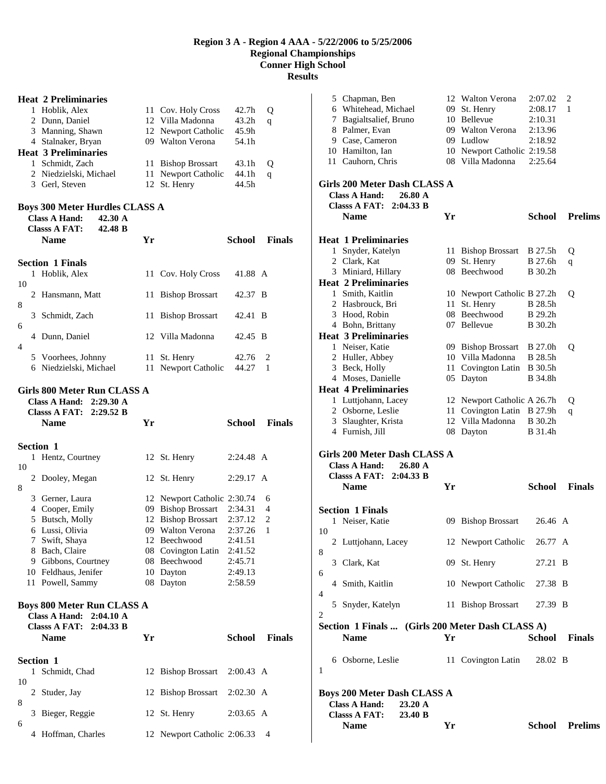|    |                                                                                                             | <b>Heat 2 Preliminaries</b>                                                      |      |                                             |                     |               |  |
|----|-------------------------------------------------------------------------------------------------------------|----------------------------------------------------------------------------------|------|---------------------------------------------|---------------------|---------------|--|
|    |                                                                                                             | 1 Hoblik, Alex                                                                   |      | 11 Cov. Holy Cross                          | 42.7h               | Q             |  |
|    |                                                                                                             | 2 Dunn, Daniel                                                                   |      | 12 Villa Madonna                            | 43.2h               | q             |  |
|    |                                                                                                             | 3 Manning, Shawn                                                                 |      | 12 Newport Catholic                         | 45.9h               |               |  |
|    |                                                                                                             | 4 Stalnaker, Bryan                                                               |      | 09 Walton Verona                            | 54.1h               |               |  |
|    |                                                                                                             | <b>Heat 3 Preliminaries</b>                                                      |      |                                             |                     |               |  |
|    |                                                                                                             | 1 Schmidt, Zach                                                                  |      | 11 Bishop Brossart                          | 43.1h               | Q             |  |
|    |                                                                                                             | 2 Niedzielski, Michael                                                           | 11 - | Newport Catholic                            | 44.1h               | q             |  |
|    |                                                                                                             | 3 Gerl, Steven                                                                   | 12   | St. Henry                                   | 44.5h               |               |  |
|    | <b>Boys 300 Meter Hurdles CLASS A</b><br><b>Class A Hand:</b><br>42.30 A<br>42.48 B<br><b>Classs A FAT:</b> |                                                                                  |      |                                             |                     |               |  |
|    |                                                                                                             | Name                                                                             | Yr   |                                             | School              | <b>Finals</b> |  |
|    |                                                                                                             | <b>Section 1 Finals</b>                                                          |      |                                             |                     |               |  |
| 10 |                                                                                                             | 1 Hoblik, Alex                                                                   |      | 11 Cov. Holy Cross                          | 41.88 A             |               |  |
| 8  |                                                                                                             | 2 Hansmann, Matt                                                                 |      | 11 Bishop Brossart                          | 42.37 B             |               |  |
| 6  |                                                                                                             | 3 Schmidt, Zach                                                                  |      | 11 Bishop Brossart                          | 42.41 B             |               |  |
| 4  |                                                                                                             | 4 Dunn, Daniel                                                                   |      | 12 Villa Madonna                            | 42.45 B             |               |  |
|    |                                                                                                             | 5 Voorhees, Johnny                                                               | 11   | St. Henry                                   | 42.76               | 2             |  |
|    |                                                                                                             | 6 Niedzielski, Michael                                                           | 11   | Newport Catholic                            | 44.27               | 1             |  |
|    |                                                                                                             | <b>Class A Hand:</b><br>$2:29.30 \text{ A}$                                      |      |                                             |                     |               |  |
|    |                                                                                                             | <b>Classs A FAT:</b><br>2:29.52 B<br><b>Name</b>                                 | Yr   |                                             | School              | <b>Finals</b> |  |
|    |                                                                                                             | Section 1                                                                        |      |                                             |                     |               |  |
|    | 1                                                                                                           | Hentz, Courtney                                                                  |      | 12 St. Henry                                | 2:24.48 A           |               |  |
| 10 |                                                                                                             |                                                                                  |      |                                             |                     |               |  |
|    |                                                                                                             | 2 Dooley, Megan                                                                  |      | 12 St. Henry                                | 2:29.17 A           |               |  |
| 8  |                                                                                                             |                                                                                  |      |                                             |                     |               |  |
|    |                                                                                                             | 3 Gerner, Laura                                                                  |      | 12 Newport Catholic 2:30.74                 | 2:34.31             | 6<br>4        |  |
|    |                                                                                                             | 4 Cooper, Emily<br>5 Butsch, Molly                                               |      | 09 Bishop Brossart<br>12 Bishop Brossart    | 2:37.12             | 2             |  |
|    | 6                                                                                                           | Lussi, Olivia                                                                    |      | 09 Walton Verona                            | 2:37.26             | 1             |  |
|    |                                                                                                             | 7 Swift, Shaya                                                                   |      | 12 Beechwood                                | 2:41.51             |               |  |
|    |                                                                                                             | 8 Bach, Claire                                                                   |      | 08 Covington Latin                          | 2:41.52             |               |  |
|    |                                                                                                             | 9 Gibbons, Courtney                                                              |      | 08 Beechwood                                | 2:45.71             |               |  |
|    |                                                                                                             | 10 Feldhaus, Jenifer                                                             |      | 10 Dayton                                   | 2:49.13             |               |  |
|    |                                                                                                             | 11 Powell, Sammy<br><b>Boys 800 Meter Run CLASS A</b><br>Class A Hand: 2:04.10 A |      | 08 Dayton                                   | 2:58.59             |               |  |
|    |                                                                                                             | <b>Classs A FAT:</b><br>2:04.33 B                                                |      |                                             |                     |               |  |
|    |                                                                                                             | Name                                                                             | Yr   |                                             | School              | <b>Finals</b> |  |
|    |                                                                                                             |                                                                                  |      |                                             |                     |               |  |
|    |                                                                                                             | Section 1                                                                        |      |                                             |                     |               |  |
| 10 | 1                                                                                                           | Schmidt, Chad                                                                    |      | 12 Bishop Brossart                          | $2:00.43 \text{ A}$ |               |  |
|    | 2                                                                                                           | Studer, Jay                                                                      |      | 12 Bishop Brossart                          | $2:02.30$ A         |               |  |
| 8  |                                                                                                             |                                                                                  |      |                                             |                     |               |  |
| 6  | 3                                                                                                           | Bieger, Reggie                                                                   |      | 12 St. Henry<br>12 Newport Catholic 2:06.33 | $2:03.65$ A         |               |  |

|    | <b>Classs A FAT:</b><br>23.40 B<br>Name                                                              | Yr   |                                                           |                           | <b>School Prelims</b> |  |  |  |
|----|------------------------------------------------------------------------------------------------------|------|-----------------------------------------------------------|---------------------------|-----------------------|--|--|--|
|    | <b>Boys 200 Meter Dash CLASS A</b><br><b>Class A Hand:</b><br>23.20 A                                |      |                                                           |                           |                       |  |  |  |
| 1  | 6 Osborne, Leslie                                                                                    |      | 11 Covington Latin                                        | 28.02 B                   |                       |  |  |  |
|    | Section 1 Finals  (Girls 200 Meter Dash CLASS A)<br><b>Name</b>                                      | Yr   |                                                           | School                    | <b>Finals</b>         |  |  |  |
| 2  | 5 Snyder, Katelyn                                                                                    |      | 11 Bishop Brossart                                        | 27.39 B                   |                       |  |  |  |
| 4  | 4 Smith, Kaitlin                                                                                     |      | 10 Newport Catholic 27.38 B                               |                           |                       |  |  |  |
| 6  | 3 Clark, Kat                                                                                         |      | 09 St. Henry                                              | 27.21 B                   |                       |  |  |  |
| 8  | 2 Luttjohann, Lacey                                                                                  |      | 12 Newport Catholic                                       | 26.77 A                   |                       |  |  |  |
| 10 |                                                                                                      |      | 09 Bishop Brossart                                        |                           |                       |  |  |  |
|    | <b>Section 1 Finals</b><br>1 Neiser, Katie                                                           |      |                                                           | 26.46 A                   |                       |  |  |  |
|    | <b>Name</b>                                                                                          | Yr   |                                                           | <b>School</b>             | <b>Finals</b>         |  |  |  |
|    | Girls 200 Meter Dash CLASS A<br><b>Class A Hand:</b><br>26.80 A<br><b>Classs A FAT:</b><br>2:04.33 B |      |                                                           |                           |                       |  |  |  |
|    | 4 Furnish, Jill                                                                                      |      | 08 Dayton                                                 | B 31.4h                   |                       |  |  |  |
|    | 3 Slaughter, Krista                                                                                  |      | 12 Villa Madonna                                          | B 30.2h                   | q                     |  |  |  |
|    | 1 Luttjohann, Lacey<br>2 Osborne, Leslie                                                             |      | 12 Newport Catholic A 26.7h<br>11 Covington Latin B 27.9h |                           | Q                     |  |  |  |
|    | <b>Heat 4 Preliminaries</b>                                                                          |      |                                                           |                           |                       |  |  |  |
|    | 4 Moses, Danielle                                                                                    |      | 05 Dayton                                                 | B 34.8h                   |                       |  |  |  |
|    | 2 Huller, Abbey<br>3 Beck, Holly                                                                     | 11 - | 10 Villa Madonna<br>Covington Latin                       | B 28.5h<br><b>B</b> 30.5h |                       |  |  |  |
|    | 1 Neiser, Katie                                                                                      |      | 09 Bishop Brossart                                        | <b>B</b> 27.0h            | Q                     |  |  |  |
|    | <b>Heat 3 Preliminaries</b>                                                                          |      |                                                           |                           |                       |  |  |  |
|    | 4 Bohn, Brittany                                                                                     |      | 07 Bellevue                                               | B 30.2h                   |                       |  |  |  |
|    | 2 Hasbrouck, Bri<br>3 Hood, Robin                                                                    | 11   | St. Henry<br>08 Beechwood                                 | B 28.5h<br><b>B</b> 29.2h |                       |  |  |  |
|    | 1 Smith, Kaitlin                                                                                     |      | 10 Newport Catholic B 27.2h                               |                           | Q                     |  |  |  |
|    | <b>Heat 2 Preliminaries</b>                                                                          |      |                                                           |                           |                       |  |  |  |
|    | 3 Miniard, Hillary                                                                                   |      | 08 Beechwood                                              | B 30.2h                   |                       |  |  |  |
|    | 1 Snyder, Katelyn<br>2 Clark, Kat                                                                    | 09   | 11 Bishop Brossart<br>St. Henry                           | <b>B</b> 27.5h<br>B 27.6h | Q<br>q                |  |  |  |
|    | <b>Heat 1 Preliminaries</b>                                                                          |      |                                                           |                           |                       |  |  |  |
|    | <b>Classs A FAT:</b><br>2:04.33 B<br><b>Name</b>                                                     | Yr   |                                                           | School                    | <b>Prelims</b>        |  |  |  |
|    | Girls 200 Meter Dash CLASS A<br><b>Class A Hand:</b><br>26.80 A                                      |      |                                                           |                           |                       |  |  |  |
|    | 11 Cauhorn, Chris                                                                                    |      | 08 Villa Madonna                                          | 2:25.64                   |                       |  |  |  |
|    | 10 Hamilton, Ian                                                                                     |      | 10 Newport Catholic 2:19.58                               |                           |                       |  |  |  |
|    | 8 Palmer, Evan<br>9 Case, Cameron                                                                    |      | 09 Walton Verona<br>09 Ludlow                             | 2:13.96<br>2:18.92        |                       |  |  |  |
|    | 7 Bagialtsalief, Bruno                                                                               |      | 10 Bellevue                                               | 2:10.31                   |                       |  |  |  |
|    | 6 Whitehead, Michael                                                                                 |      | 09 St. Henry                                              | 2:08.17                   | 1                     |  |  |  |
|    | 5 Chapman, Ben                                                                                       |      | 12 Walton Verona                                          | 2:07.02                   | 2                     |  |  |  |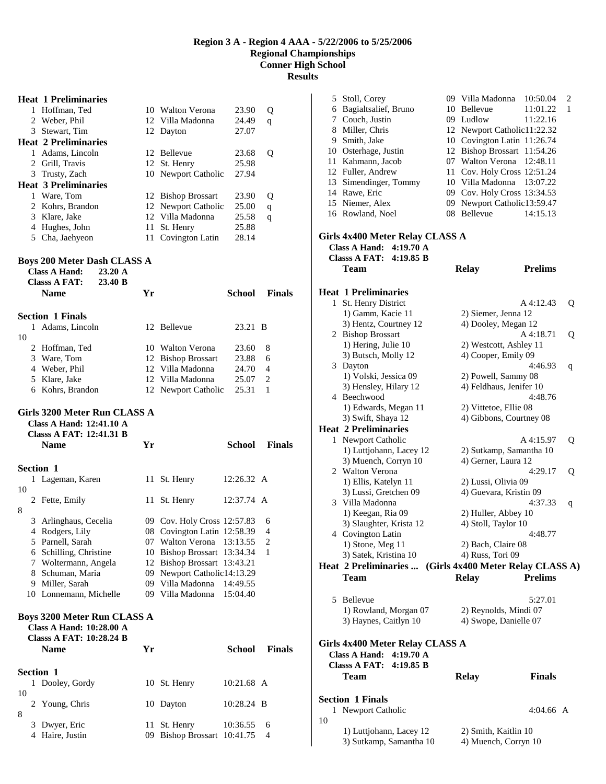### **Heat 1 Preliminaries**  1 Hoffman, Ted 10 Walton Verona 23.90 Q 2 Weber, Phil 12 Villa Madonna 24.49 q 3 Stewart, Tim 12 Dayton 27.07 **Heat 2 Preliminaries**  1 Adams, Lincoln 12 Bellevue 23.68 Q<br>2 Grill, Travis 12 St. Henry 25.98 2 Grill, Travis 12 St. Henry 25.98<br>3 Trusty, Zach 10 Newport Catholic 27.94 10 Newport Catholic **Heat 3 Preliminaries**  1 Ware, Tom 12 Bishop Brossart 23.90 Q<br>2 Kohrs, Brandon 12 Newport Catholic 25.00 q 12 Newport Catholic 25.00 q 3 Klare, Jake 12 Villa Madonna 25.58 q 4 Hughes, John 11 St. Henry 25.88 5 Cha, Jaehyeon 11 Covington Latin 28.14 **Boys 200 Meter Dash CLASS A Class A Hand: 23.20 A Classs A FAT: 23.40 B**

|    | Name                    | Үr |                     | School  | <b>Finals</b>  |  |
|----|-------------------------|----|---------------------|---------|----------------|--|
|    | <b>Section 1 Finals</b> |    |                     |         |                |  |
| 1. | Adams, Lincoln          |    | 12 Bellevue         | 23.21 B |                |  |
| 10 |                         |    |                     |         |                |  |
|    | 2 Hoffman, Ted          |    | 10 Walton Verona    | 23.60   | 8              |  |
|    | 3 Ware, Tom             |    | 12 Bishop Brossart  | 23.88   | 6              |  |
|    | 4 Weber, Phil           |    | 12 Villa Madonna    | 24.70   | $\overline{4}$ |  |
|    | 5 Klare, Jake           |    | 12 Villa Madonna    | 25.07   | 2              |  |
|    | 6 Kohrs, Brandon        |    | 12 Newport Catholic | 25.31   |                |  |
|    |                         |    |                     |         |                |  |

#### **Girls 3200 Meter Run CLASS A**

|    | <b>Classs A FAT: 12:41.31 B</b><br><b>Name</b> | Yr  |                             | School     | <b>Finals</b> |
|----|------------------------------------------------|-----|-----------------------------|------------|---------------|
|    | Section 1                                      |     |                             |            |               |
|    | 1 Lageman, Karen                               |     | 11 St. Henry                | 12:26.32 A |               |
| 10 |                                                |     |                             |            |               |
|    | 2 Fette, Emily                                 |     | 11 St. Henry                | 12:37.74 A |               |
| 8  |                                                |     |                             |            |               |
| 3  | Arlinghaus, Cecelia                            |     | 09 Cov. Holy Cross 12:57.83 |            | 6             |
| 4  | Rodgers, Lily                                  |     | 08 Covington Latin 12:58.39 |            | 4             |
|    | 5 Parnell, Sarah                               | 07  | Walton Verona 13:13.55      |            | 2             |
| 6  | Schilling, Christine                           | 10  | Bishop Brossart 13:34.34    |            | 1             |
| 7  | Woltermann, Angela                             |     | 12 Bishop Brossart 13:43.21 |            |               |
| 8  | Schuman, Maria                                 | 09. | Newport Catholic14:13.29    |            |               |
| 9  | Miller, Sarah                                  |     | 09 Villa Madonna 14:49.55   |            |               |
|    | 10 Lonnemann, Michelle                         |     | 09 Villa Madonna 15:04.40   |            |               |

# **Class A Hand: 10:28.00 A**

|    |   | <b>Classs A FAT: 10:28.24 B</b><br><b>Name</b> | Үr |                             | School       | <b>Finals</b>  |
|----|---|------------------------------------------------|----|-----------------------------|--------------|----------------|
|    |   | <b>Section 1</b>                               |    |                             |              |                |
|    |   | 1 Dooley, Gordy                                |    | 10 St. Henry                | 10:21.68 A   |                |
| 10 |   |                                                |    |                             |              |                |
|    |   | 2 Young, Chris                                 |    | 10 Dayton                   | $10:28.24$ B |                |
| 8  |   |                                                |    |                             |              |                |
|    |   | 3 Dwyer, Eric                                  |    | 11 St. Henry                | 10:36.55     | 6              |
|    | 4 | Haire, Justin                                  |    | 09 Bishop Brossart 10:41.75 |              | $\overline{4}$ |

|    | 5 Stoll, Corey<br>6 Bagialtsalief, Bruno<br>7 Couch, Justin<br>8 Miller, Chris<br>9 Smith, Jake<br>10 Osterhage, Justin<br>11 Kahmann, Jacob<br>12 Fuller, Andrew<br>13 Simendinger, Tommy<br>14 Rawe, Eric<br>15 Niemer, Alex<br>16 Rowland, Noel<br>Girls 4x400 Meter Relay CLASS A | 09<br>08 | 09 Villa Madonna<br>10 Bellevue<br>09 Ludlow<br>12 Newport Catholic11:22.32<br>10 Covington Latin 11:26.74<br>12 Bishop Brossart 11:54.26<br>07 Walton Verona<br>11 Cov. Holy Cross 12:51.24<br>10 Villa Madonna<br>09 Cov. Holy Cross 13:34.53<br>Newport Catholic13:59.47<br>Bellevue | 10:50.04<br>11:01.22<br>11:22.16<br>12:48.11<br>13:07.22<br>14:15.13 | 2<br>1 |
|----|---------------------------------------------------------------------------------------------------------------------------------------------------------------------------------------------------------------------------------------------------------------------------------------|----------|-----------------------------------------------------------------------------------------------------------------------------------------------------------------------------------------------------------------------------------------------------------------------------------------|----------------------------------------------------------------------|--------|
|    | <b>Class A Hand:</b><br>4:19.70 A                                                                                                                                                                                                                                                     |          |                                                                                                                                                                                                                                                                                         |                                                                      |        |
|    | <b>Classs A FAT:</b><br>4:19.85 B                                                                                                                                                                                                                                                     |          |                                                                                                                                                                                                                                                                                         |                                                                      |        |
|    | <b>Team</b>                                                                                                                                                                                                                                                                           |          | <b>Relay</b>                                                                                                                                                                                                                                                                            | <b>Prelims</b>                                                       |        |
|    |                                                                                                                                                                                                                                                                                       |          |                                                                                                                                                                                                                                                                                         |                                                                      |        |
|    | <b>Heat 1 Preliminaries</b>                                                                                                                                                                                                                                                           |          |                                                                                                                                                                                                                                                                                         |                                                                      |        |
|    | 1 St. Henry District                                                                                                                                                                                                                                                                  |          |                                                                                                                                                                                                                                                                                         | A 4:12.43                                                            | Q      |
|    | 1) Gamm, Kacie 11                                                                                                                                                                                                                                                                     |          | 2) Siemer, Jenna 12<br>4) Dooley, Megan 12                                                                                                                                                                                                                                              |                                                                      |        |
|    | 3) Hentz, Courtney 12<br>2 Bishop Brossart                                                                                                                                                                                                                                            |          |                                                                                                                                                                                                                                                                                         | A 4:18.71                                                            | Q      |
|    | 1) Hering, Julie 10                                                                                                                                                                                                                                                                   |          | 2) Westcott, Ashley 11                                                                                                                                                                                                                                                                  |                                                                      |        |
|    | 3) Butsch, Molly 12                                                                                                                                                                                                                                                                   |          | 4) Cooper, Emily 09                                                                                                                                                                                                                                                                     |                                                                      |        |
|    | 3 Dayton                                                                                                                                                                                                                                                                              |          |                                                                                                                                                                                                                                                                                         | 4:46.93                                                              | q      |
|    | 1) Volski, Jessica 09                                                                                                                                                                                                                                                                 |          | 2) Powell, Sammy 08                                                                                                                                                                                                                                                                     |                                                                      |        |
|    | 3) Hensley, Hilary 12                                                                                                                                                                                                                                                                 |          | 4) Feldhaus, Jenifer 10                                                                                                                                                                                                                                                                 |                                                                      |        |
|    | 4 Beechwood                                                                                                                                                                                                                                                                           |          |                                                                                                                                                                                                                                                                                         | 4:48.76                                                              |        |
|    | 1) Edwards, Megan 11                                                                                                                                                                                                                                                                  |          | 2) Vittetoe, Ellie 08                                                                                                                                                                                                                                                                   |                                                                      |        |
|    | 3) Swift, Shaya 12                                                                                                                                                                                                                                                                    |          | 4) Gibbons, Courtney 08                                                                                                                                                                                                                                                                 |                                                                      |        |
|    | <b>Heat 2 Preliminaries</b>                                                                                                                                                                                                                                                           |          |                                                                                                                                                                                                                                                                                         |                                                                      |        |
| 1  | Newport Catholic                                                                                                                                                                                                                                                                      |          |                                                                                                                                                                                                                                                                                         | A 4:15.97                                                            | Q      |
|    | 1) Luttjohann, Lacey 12                                                                                                                                                                                                                                                               |          | 2) Sutkamp, Samantha 10                                                                                                                                                                                                                                                                 |                                                                      |        |
|    | 3) Muench, Corryn 10                                                                                                                                                                                                                                                                  |          | 4) Gerner, Laura 12                                                                                                                                                                                                                                                                     |                                                                      |        |
|    | 2 Walton Verona                                                                                                                                                                                                                                                                       |          |                                                                                                                                                                                                                                                                                         | 4:29.17                                                              | Q      |
|    | 1) Ellis, Katelyn 11                                                                                                                                                                                                                                                                  |          | 2) Lussi, Olivia 09                                                                                                                                                                                                                                                                     |                                                                      |        |
|    | 3) Lussi, Gretchen 09                                                                                                                                                                                                                                                                 |          | 4) Guevara, Kristin 09                                                                                                                                                                                                                                                                  |                                                                      |        |
|    | 3 Villa Madonna                                                                                                                                                                                                                                                                       |          |                                                                                                                                                                                                                                                                                         | 4:37.33                                                              | q      |
|    | 1) Keegan, Ria 09                                                                                                                                                                                                                                                                     |          | 2) Huller, Abbey 10                                                                                                                                                                                                                                                                     |                                                                      |        |
|    | 3) Slaughter, Krista 12                                                                                                                                                                                                                                                               |          | 4) Stoll, Taylor 10                                                                                                                                                                                                                                                                     |                                                                      |        |
|    | 4 Covington Latin                                                                                                                                                                                                                                                                     |          |                                                                                                                                                                                                                                                                                         | 4:48.77                                                              |        |
|    | 1) Stone, Meg 11                                                                                                                                                                                                                                                                      |          | 2) Bach, Claire 08                                                                                                                                                                                                                                                                      |                                                                      |        |
|    | 3) Satek, Kristina 10                                                                                                                                                                                                                                                                 |          | 4) Russ, Tori 09                                                                                                                                                                                                                                                                        |                                                                      |        |
|    | Heat 2 Preliminaries                                                                                                                                                                                                                                                                  |          | (Girls 4x400 Meter Relay CLASS A)                                                                                                                                                                                                                                                       |                                                                      |        |
|    | Team                                                                                                                                                                                                                                                                                  |          | <b>Relay</b>                                                                                                                                                                                                                                                                            | <b>Prelims</b>                                                       |        |
|    |                                                                                                                                                                                                                                                                                       |          |                                                                                                                                                                                                                                                                                         |                                                                      |        |
|    | 5 Bellevue                                                                                                                                                                                                                                                                            |          |                                                                                                                                                                                                                                                                                         | 5:27.01                                                              |        |
|    | 1) Rowland, Morgan 07                                                                                                                                                                                                                                                                 |          | 2) Reynolds, Mindi 07                                                                                                                                                                                                                                                                   |                                                                      |        |
|    | 3) Haynes, Caitlyn 10                                                                                                                                                                                                                                                                 |          | 4) Swope, Danielle 07                                                                                                                                                                                                                                                                   |                                                                      |        |
|    |                                                                                                                                                                                                                                                                                       |          |                                                                                                                                                                                                                                                                                         |                                                                      |        |
|    | Girls 4x400 Meter Relay CLASS A<br>4:19.70 A<br><b>Class A Hand:</b><br><b>Classs A FAT: 4:19.85 B</b>                                                                                                                                                                                |          |                                                                                                                                                                                                                                                                                         |                                                                      |        |
|    | Team                                                                                                                                                                                                                                                                                  |          | <b>Relay</b>                                                                                                                                                                                                                                                                            | <b>Finals</b>                                                        |        |
|    |                                                                                                                                                                                                                                                                                       |          |                                                                                                                                                                                                                                                                                         |                                                                      |        |
|    |                                                                                                                                                                                                                                                                                       |          |                                                                                                                                                                                                                                                                                         |                                                                      |        |
|    | <b>Section 1 Finals</b>                                                                                                                                                                                                                                                               |          |                                                                                                                                                                                                                                                                                         |                                                                      |        |
|    | 1 Newport Catholic                                                                                                                                                                                                                                                                    |          |                                                                                                                                                                                                                                                                                         | $4:04.66$ A                                                          |        |
| 10 |                                                                                                                                                                                                                                                                                       |          |                                                                                                                                                                                                                                                                                         |                                                                      |        |
|    | 1) Luttjohann, Lacey 12<br>3) Sutkamp, Samantha 10                                                                                                                                                                                                                                    |          | 2) Smith, Kaitlin 10<br>4) Muench, Corryn 10                                                                                                                                                                                                                                            |                                                                      |        |